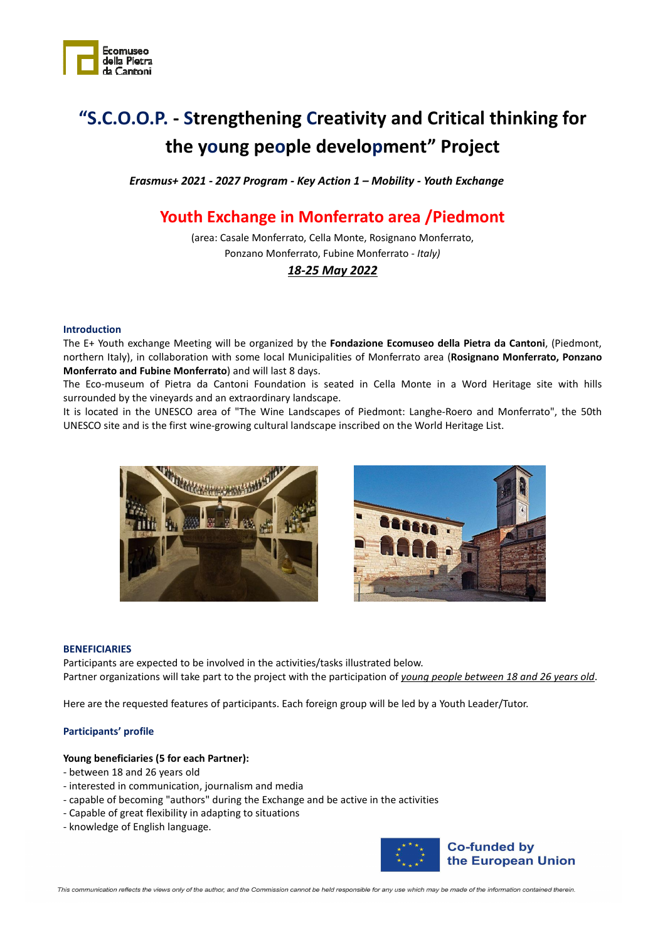

# **"S.C.O.O.P. - Strengthening Creativity and Critical thinking for the young people development" Project**

*Erasmus+ 2021 - 2027 Program - Key Action 1 – Mobility - Youth Exchange* 

# **Youth Exchange in Monferrato area /Piedmont**

(area: Casale Monferrato, Cella Monte, Rosignano Monferrato, Ponzano Monferrato, Fubine Monferrato - *Italy)* 

# *18-25 May 2022*

#### **Introduction**

The E+ Youth exchange Meeting will be organized by the **Fondazione Ecomuseo della Pietra da Cantoni**, (Piedmont, northern Italy), in collaboration with some local Municipalities of Monferrato area (**Rosignano Monferrato, Ponzano Monferrato and Fubine Monferrato**) and will last 8 days.

The Eco-museum of Pietra da Cantoni Foundation is seated in Cella Monte in a Word Heritage site with hills surrounded by the vineyards and an extraordinary landscape.

It is located in the UNESCO area of "The Wine Landscapes of Piedmont: Langhe-Roero and Monferrato", the 50th UNESCO site and is the first wine-growing cultural landscape inscribed on the World Heritage List.





#### **BENEFICIARIES**

Participants are expected to be involved in the activities/tasks illustrated below. Partner organizations will take part to the project with the participation of *young people between 18 and 26 years old*.

Here are the requested features of participants. Each foreign group will be led by a Youth Leader/Tutor.

#### **Participants' profile**

#### **Young beneficiaries (5 for each Partner):**

- between 18 and 26 years old
- interested in communication, journalism and media
- capable of becoming "authors" during the Exchange and be active in the activities
- Capable of great flexibility in adapting to situations
- knowledge of English language.



This communication reflects the views only of the author, and the Commission cannot be held responsible for any use which may be made of the information contained therein.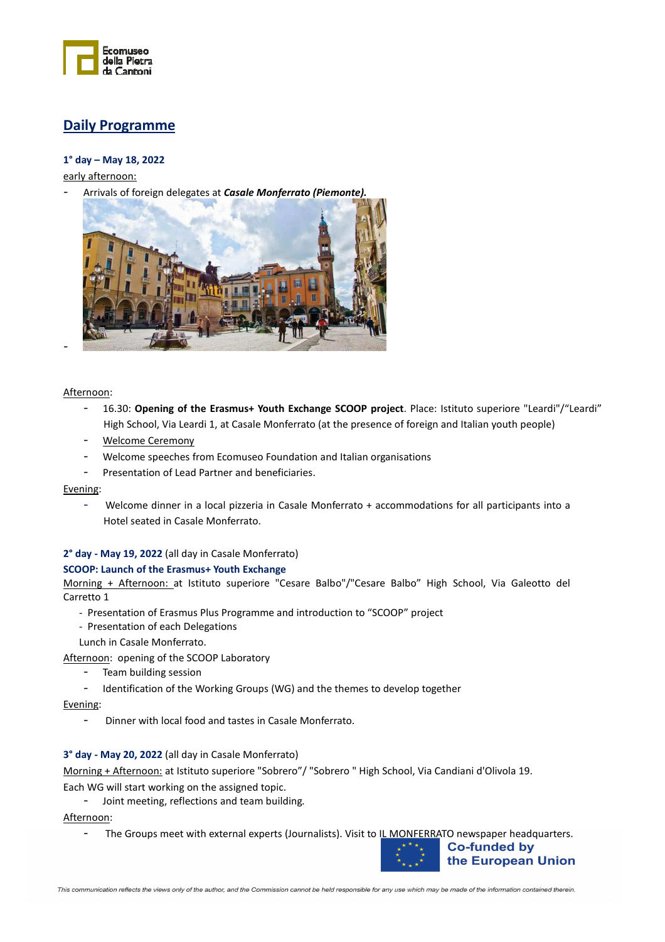

# **Daily Programme**

# **1° day – May 18, 2022**

early afternoon:

- Arrivals of foreign delegates at *Casale Monferrato (Piemonte).*



Afternoon:

-

- 16.30: **Opening of the Erasmus+ Youth Exchange SCOOP project**. Place: Istituto superiore "Leardi"/"Leardi" High School, Via Leardi 1, at Casale Monferrato (at the presence of foreign and Italian youth people)
- Welcome Ceremony
- Welcome speeches from Ecomuseo Foundation and Italian organisations
- Presentation of Lead Partner and beneficiaries.

Evening:

- Welcome dinner in a local pizzeria in Casale Monferrato + accommodations for all participants into a Hotel seated in Casale Monferrato.

# **2° day - May 19, 2022** (all day in Casale Monferrato)

#### **SCOOP: Launch of the Erasmus+ Youth Exchange**

Morning + Afternoon: at Istituto superiore "Cesare Balbo"/"Cesare Balbo" High School, Via Galeotto del Carretto 1

- Presentation of Erasmus Plus Programme and introduction to "SCOOP" project
- Presentation of each Delegations

Lunch in Casale Monferrato.

Afternoon: opening of the SCOOP Laboratory

- Team building session
	- Identification of the Working Groups (WG) and the themes to develop together

Evening:

- Dinner with local food and tastes in Casale Monferrato.

## **3° day - May 20, 2022** (all day in Casale Monferrato)

Morning + Afternoon: at Istituto superiore "Sobrero"/ "Sobrero " High School, Via Candiani d'Olivola 19.

Each WG will start working on the assigned topic.

- Joint meeting, reflections and team building*.*

Afternoon:

- The Groups meet with external experts (Journalists). Visit to IL MONFERRATO newspaper headquarters.

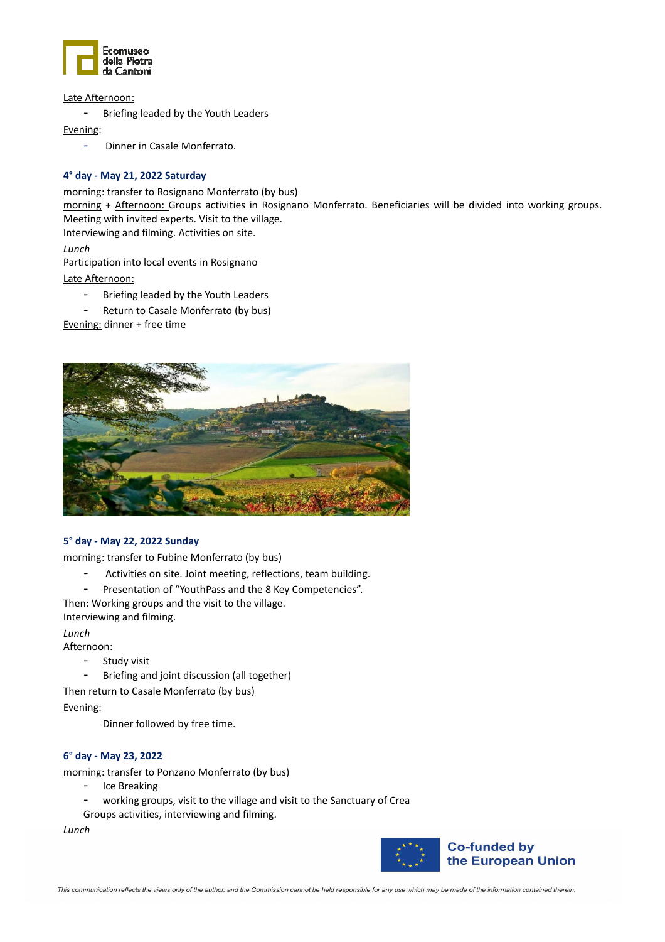

Late Afternoon:

- Briefing leaded by the Youth Leaders

Evening:

- Dinner in Casale Monferrato.

## **4° day - May 21, 2022 Saturday**

morning: transfer to Rosignano Monferrato (by bus)

morning + Afternoon: Groups activities in Rosignano Monferrato. Beneficiaries will be divided into working groups. Meeting with invited experts. Visit to the village.

Interviewing and filming. Activities on site.

*Lunch* 

Participation into local events in Rosignano

Late Afternoon:

- Briefing leaded by the Youth Leaders
- Return to Casale Monferrato (by bus)

Evening: dinner + free time



## **5° day - May 22, 2022 Sunday**

morning: transfer to Fubine Monferrato (by bus)

- Activities on site. Joint meeting, reflections, team building.
- Presentation of "YouthPass and the 8 Key Competencies".

Then: Working groups and the visit to the village. Interviewing and filming.

*Lunch* 

Afternoon:

- Study visit
	- Briefing and joint discussion (all together)

Then return to Casale Monferrato (by bus)

Evening:

Dinner followed by free time.

## **6° day - May 23, 2022**

morning: transfer to Ponzano Monferrato (by bus)

- Ice Breaking
- working groups, visit to the village and visit to the Sanctuary of Crea
- Groups activities, interviewing and filming.

*Lunch* 

![](_page_2_Picture_34.jpeg)